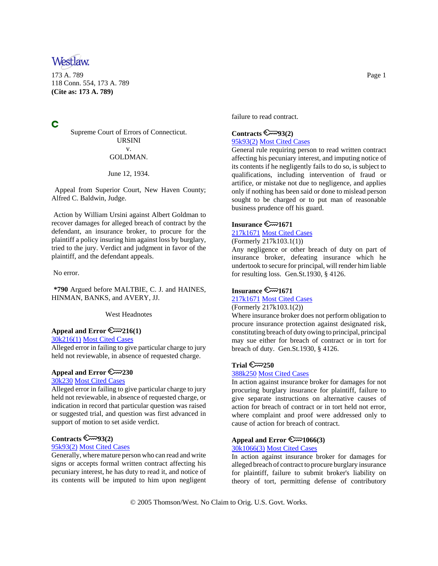

173 A. 789 Page 1 118 Conn. 554, 173 A. 789 **(Cite as: 173 A. 789)**

C

Supreme Court of Errors of Connecticut. URSINI v. GOLDMAN.

June 12, 1934.

 Appeal from Superior Court, New Haven County; Alfred C. Baldwin, Judge.

 Action by William Ursini against Albert Goldman to recover damages for alleged breach of contract by the defendant, an insurance broker, to procure for the plaintiff a policy insuring him against loss by burglary, tried to the jury. Verdict and judgment in favor of the plaintiff, and the defendant appeals.

No error.

**\*790** Argued before MALTBIE, C. J. and HAINES, HINMAN, BANKS, and AVERY, JJ.

West Headnotes

**Appeal and Error**  $\mathbb{C}$ 216(1)

30k216(1) Most Cited Cases

Alleged error in failing to give particular charge to jury held not reviewable, in absence of requested charge.

# **Appeal and Error 230**

30k230 Most Cited Cases

Alleged error in failing to give particular charge to jury held not reviewable, in absence of requested charge, or indication in record that particular question was raised or suggested trial, and question was first advanced in support of motion to set aside verdict.

## **Contracts**  $\mathbb{C}\rightarrow\mathbb{P}93(2)$

95k93(2) Most Cited Cases

Generally, where mature person who can read and write signs or accepts formal written contract affecting his pecuniary interest, he has duty to read it, and notice of its contents will be imputed to him upon negligent failure to read contract.

## **Contracts**  $\mathbb{R}$  93(2)

95k93(2) Most Cited Cases

General rule requiring person to read written contract affecting his pecuniary interest, and imputing notice of its contents if he negligently fails to do so, is subject to qualifications, including intervention of fraud or artifice, or mistake not due to negligence, and applies only if nothing has been said or done to mislead person sought to be charged or to put man of reasonable business prudence off his guard.

## **Insurance**  $\mathbb{C}$  1671

217k1671 Most Cited Cases

(Formerly 217k103.1(1))

Any negligence or other breach of duty on part of insurance broker, defeating insurance which he undertook to secure for principal, will render him liable for resulting loss. Gen.St.1930, § 4126.

# **Insurance**  $\mathbb{C}$  1671

## 217k1671 Most Cited Cases

(Formerly 217k103.1(2))

Where insurance broker does not perform obligation to procure insurance protection against designated risk, constituting breach of duty owing to principal, principal may sue either for breach of contract or in tort for breach of duty. Gen.St.1930, § 4126.

## $Trial \, \otimes \, 250$

#### 388k250 Most Cited Cases

In action against insurance broker for damages for not procuring burglary insurance for plaintiff, failure to give separate instructions on alternative causes of action for breach of contract or in tort held not error, where complaint and proof were addressed only to cause of action for breach of contract.

#### **Appeal and Error**  $\mathbb{R}$  1066(3)

# 30k1066(3) Most Cited Cases

In action against insurance broker for damages for alleged breach of contract to procure burglary insurance for plaintiff, failure to submit broker's liability on theory of tort, permitting defense of contributory

© 2005 Thomson/West. No Claim to Orig. U.S. Govt. Works.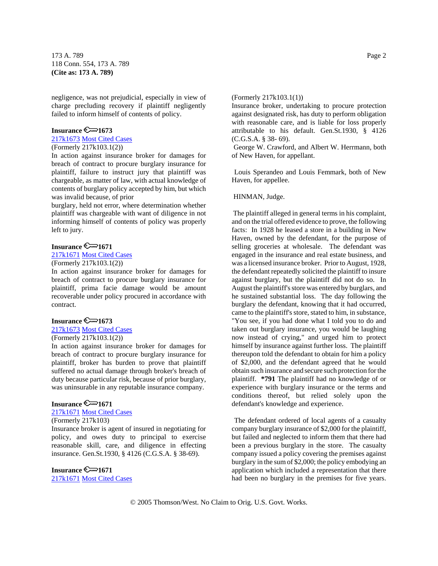173 A. 789 Page 2 118 Conn. 554, 173 A. 789 **(Cite as: 173 A. 789)**

negligence, was not prejudicial, especially in view of charge precluding recovery if plaintiff negligently failed to inform himself of contents of policy.

## **Insurance**  $\mathbb{C} \rightarrow 1673$

217k1673 Most Cited Cases

## (Formerly 217k103.1(2))

In action against insurance broker for damages for breach of contract to procure burglary insurance for plaintiff, failure to instruct jury that plaintiff was chargeable, as matter of law, with actual knowledge of contents of burglary policy accepted by him, but which was invalid because, of prior

burglary, held not error, where determination whether plaintiff was chargeable with want of diligence in not informing himself of contents of policy was properly left to jury.

# **Insurance**  $\mathbb{C} \rightarrow 1671$

### 217k1671 Most Cited Cases

### (Formerly 217k103.1(2))

In action against insurance broker for damages for breach of contract to procure burglary insurance for plaintiff, prima facie damage would be amount recoverable under policy procured in accordance with contract.

### **Insurance**  $\mathbb{C}$  1673

## 217k1673 Most Cited Cases

### (Formerly 217k103.1(2))

In action against insurance broker for damages for breach of contract to procure burglary insurance for plaintiff, broker has burden to prove that plaintiff suffered no actual damage through broker's breach of duty because particular risk, because of prior burglary, was uninsurable in any reputable insurance company.

### **Insurance**  $\approx 1671$

#### 217k1671 Most Cited Cases (Formerly 217k103)

Insurance broker is agent of insured in negotiating for policy, and owes duty to principal to exercise reasonable skill, care, and diligence in effecting insurance. Gen.St.1930, § 4126 (C.G.S.A. § 38-69).

**Insurance**  $\mathbb{C}$  1671 217k1671 Most Cited Cases

# (Formerly 217k103.1(1))

Insurance broker, undertaking to procure protection against designated risk, has duty to perform obligation with reasonable care, and is liable for loss properly attributable to his default. Gen.St.1930, § 4126 (C.G.S.A. § 38- 69).

 George W. Crawford, and Albert W. Herrmann, both of New Haven, for appellant.

 Louis Sperandeo and Louis Femmark, both of New Haven, for appellee.

HINMAN, Judge.

 The plaintiff alleged in general terms in his complaint, and on the trial offered evidence to prove, the following facts: In 1928 he leased a store in a building in New Haven, owned by the defendant, for the purpose of selling groceries at wholesale. The defendant was engaged in the insurance and real estate business, and was a licensed insurance broker. Prior to August, 1928, the defendant repeatedly solicited the plaintiff to insure against burglary, but the plaintiff did not do so. In August the plaintiff's store was entered by burglars, and he sustained substantial loss. The day following the burglary the defendant, knowing that it had occurred, came to the plaintiff's store, stated to him, in substance, "You see, if you had done what I told you to do and taken out burglary insurance, you would be laughing now instead of crying," and urged him to protect himself by insurance against further loss. The plaintiff thereupon told the defendant to obtain for him a policy of \$2,000, and the defendant agreed that he would obtain such insurance and secure such protection for the plaintiff. **\*791** The plaintiff had no knowledge of or experience with burglary insurance or the terms and conditions thereof, but relied solely upon the defendant's knowledge and experience.

 The defendant ordered of local agents of a casualty company burglary insurance of \$2,000 for the plaintiff, but failed and neglected to inform them that there had been a previous burglary in the store. The casualty company issued a policy covering the premises against burglary in the sum of \$2,000; the policy embodying an application which included a representation that there had been no burglary in the premises for five years.

© 2005 Thomson/West. No Claim to Orig. U.S. Govt. Works.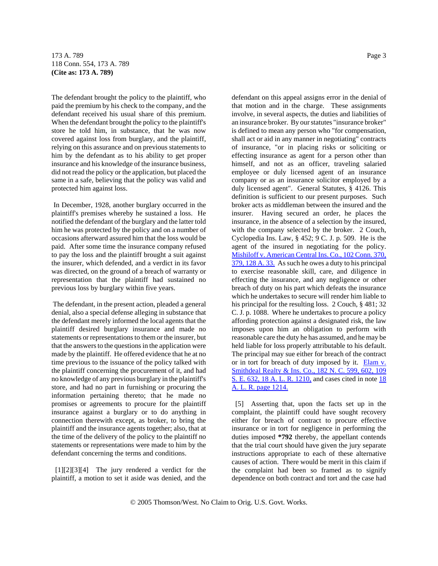### 173 A. 789 Page 3 118 Conn. 554, 173 A. 789 **(Cite as: 173 A. 789)**

The defendant brought the policy to the plaintiff, who paid the premium by his check to the company, and the defendant received his usual share of this premium. When the defendant brought the policy to the plaintiff's store he told him, in substance, that he was now covered against loss from burglary, and the plaintiff, relying on this assurance and on previous statements to him by the defendant as to his ability to get proper insurance and his knowledge of the insurance business, did not read the policy or the application, but placed the same in a safe, believing that the policy was valid and protected him against loss.

 In December, 1928, another burglary occurred in the plaintiff's premises whereby he sustained a loss. He notified the defendant of the burglary and the latter told him he was protected by the policy and on a number of occasions afterward assured him that the loss would be paid. After some time the insurance company refused to pay the loss and the plaintiff brought a suit against the insurer, which defended, and a verdict in its favor was directed, on the ground of a breach of warranty or representation that the plaintiff had sustained no previous loss by burglary within five years.

 The defendant, in the present action, pleaded a general denial, also a special defense alleging in substance that the defendant merely informed the local agents that the plaintiff desired burglary insurance and made no statements or representations to them or the insurer, but that the answers to the questions in the application were made by the plaintiff. He offered evidence that he at no time previous to the issuance of the policy talked with the plaintiff concerning the procurement of it, and had no knowledge of any previous burglary in the plaintiff's store, and had no part in furnishing or procuring the information pertaining thereto; that he made no promises or agreements to procure for the plaintiff insurance against a burglary or to do anything in connection therewith except, as broker, to bring the plaintiff and the insurance agents together; also, that at the time of the delivery of the policy to the plaintiff no statements or representations were made to him by the defendant concerning the terms and conditions.

 [1][2][3][4] The jury rendered a verdict for the plaintiff, a motion to set it aside was denied, and the

defendant on this appeal assigns error in the denial of that motion and in the charge. These assignments involve, in several aspects, the duties and liabilities of an insurance broker. By our statutes "insurance broker" is defined to mean any person who "for compensation, shall act or aid in any manner in negotiating" contracts of insurance, "or in placing risks or soliciting or effecting insurance as agent for a person other than himself, and not as an officer, traveling salaried employee or duly licensed agent of an insurance company or as an insurance solicitor employed by a duly licensed agent". General Statutes, § 4126. This definition is sufficient to our present purposes. Such broker acts as middleman between the insured and the insurer. Having secured an order, he places the insurance, in the absence of a selection by the insured, with the company selected by the broker. 2 Couch, Cyclopedia Ins. Law, § 452; 9 C. J. p. 509. He is the agent of the insured in negotiating for the policy. Mishiloff v. American Central Ins. Co., 102 Conn. 370, 379, 128 A. 33. As such he owes a duty to his principal to exercise reasonable skill, care, and diligence in effecting the insurance, and any negligence or other breach of duty on his part which defeats the insurance which he undertakes to secure will render him liable to his principal for the resulting loss. 2 Couch, § 481; 32 C. J. p. 1088. Where he undertakes to procure a policy affording protection against a designated risk, the law imposes upon him an obligation to perform with reasonable care the duty he has assumed, and he may be held liable for loss properly attributable to his default. The principal may sue either for breach of the contract or in tort for breach of duty imposed by it. Elam v. Smithdeal Realty & Ins. Co., 182 N. C. 599, 602, 109 S. E. 632, 18 A. L. R. 1210, and cases cited in note 18 A. L. R. page 1214.

 [5] Asserting that, upon the facts set up in the complaint, the plaintiff could have sought recovery either for breach of contract to procure effective insurance or in tort for negligence in performing the duties imposed **\*792** thereby, the appellant contends that the trial court should have given the jury separate instructions appropriate to each of these alternative causes of action. There would be merit in this claim if the complaint had been so framed as to signify dependence on both contract and tort and the case had

© 2005 Thomson/West. No Claim to Orig. U.S. Govt. Works.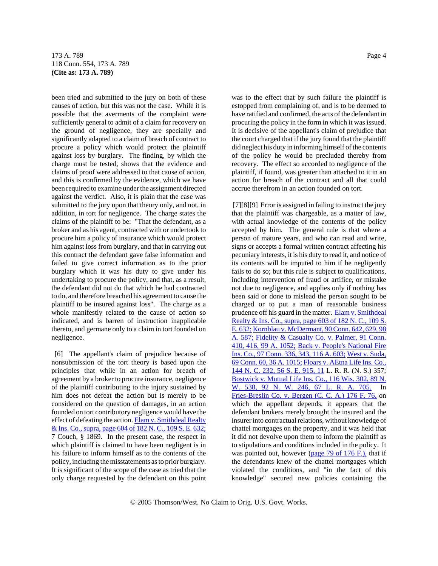173 A. 789 Page 4 118 Conn. 554, 173 A. 789 **(Cite as: 173 A. 789)**

been tried and submitted to the jury on both of these causes of action, but this was not the case. While it is possible that the averments of the complaint were sufficiently general to admit of a claim for recovery on the ground of negligence, they are specially and significantly adapted to a claim of breach of contract to procure a policy which would protect the plaintiff against loss by burglary. The finding, by which the charge must be tested, shows that the evidence and claims of proof were addressed to that cause of action, and this is confirmed by the evidence, which we have been required to examine under the assignment directed against the verdict. Also, it is plain that the case was submitted to the jury upon that theory only, and not, in addition, in tort for negligence. The charge states the claims of the plaintiff to be: "That the defendant, as a broker and as his agent, contracted with or undertook to procure him a policy of insurance which would protect him against loss from burglary, and that in carrying out this contract the defendant gave false information and failed to give correct information as to the prior burglary which it was his duty to give under his undertaking to procure the policy, and that, as a result, the defendant did not do that which he had contracted to do, and therefore breached his agreement to cause the plaintiff to be insured against loss". The charge as a whole manifestly related to the cause of action so indicated, and is barren of instruction inapplicable thereto, and germane only to a claim in tort founded on negligence.

 [6] The appellant's claim of prejudice because of nonsubmission of the tort theory is based upon the principles that while in an action for breach of agreement by a broker to procure insurance, negligence of the plaintiff contributing to the injury sustained by him does not defeat the action but is merely to be considered on the question of damages, in an action founded on tort contributory negligence would have the effect of defeating the action. Elam v. Smithdeal Realty & Ins. Co., supra, page 604 of 182 N. C., 109 S. E. 632; 7 Couch, § 1869. In the present case, the respect in which plaintiff is claimed to have been negligent is in his failure to inform himself as to the contents of the policy, including the misstatements as to prior burglary. It is significant of the scope of the case as tried that the only charge requested by the defendant on this point

was to the effect that by such failure the plaintiff is estopped from complaining of, and is to be deemed to have ratified and confirmed, the acts of the defendant in procuring the policy in the form in which it was issued. It is decisive of the appellant's claim of prejudice that the court charged that if the jury found that the plaintiff did neglect his duty in informing himself of the contents of the policy he would be precluded thereby from recovery. The effect so accorded to negligence of the plaintiff, if found, was greater than attached to it in an action for breach of the contract and all that could accrue therefrom in an action founded on tort.

 [7][8][9] Error is assigned in failing to instruct the jury that the plaintiff was chargeable, as a matter of law, with actual knowledge of the contents of the policy accepted by him. The general rule is that where a person of mature years, and who can read and write, signs or accepts a formal written contract affecting his pecuniary interests, it is his duty to read it, and notice of its contents will be imputed to him if he negligently fails to do so; but this rule is subject to qualifications, including intervention of fraud or artifice, or mistake not due to negligence, and applies only if nothing has been said or done to mislead the person sought to be charged or to put a man of reasonable business prudence off his guard in the matter. Elam v. Smithdeal Realty & Ins. Co., supra, page 603 of 182 N. C., 109 S. E. 632; Kornblau v. McDermant, 90 Conn. 642, 629, 98 A. 587; Fidelity & Casualty Co. v. Palmer, 91 Conn. 410, 416, 99 A. 1052; Back v. People's National Fire Ins. Co., 97 Conn. 336, 343, 116 A. 603; West v. Suda, 69 Conn. 60, 36 A. 1015; Floars v. AEtna Life Ins. Co., 144 N. C. 232, 56 S. E. 915, 11 L. R. R. (N. S.) 357; Bostwick v. Mutual Life Ins. Co., 116 Wis. 302, 89 N. W. 538, 92 N. W. 246, 67 L. R. A. 705. In Fries-Breslin Co. v. Bergen (C. C. A.) 176 F. 76, on which the appellant depends, it appears that the defendant brokers merely brought the insured and the insurer into contractual relations, without knowledge of chattel mortgages on the property, and it was held that it did not devolve upon them to inform the plaintiff as to stipulations and conditions included in the policy. It was pointed out, however (page 79 of 176 F.), that if the defendants knew of the chattel mortgages which violated the conditions, and "in the fact of this knowledge" secured new policies containing the